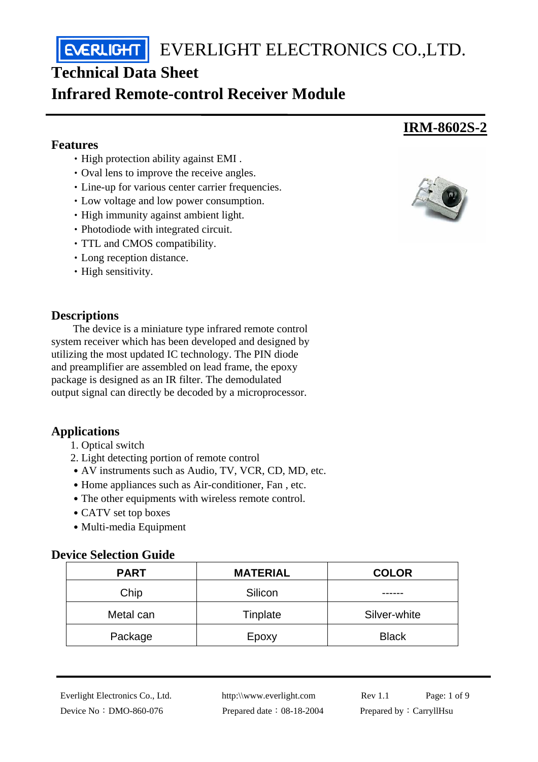**EVERLIGHT** EVERLIGHT ELECTRONICS CO.,LTD.

# **Technical Data Sheet**

# **Infrared Remote-control Receiver Module**

#### **Features**

- ‧High protection ability against EMI .
- ‧Oval lens to improve the receive angles.
- ‧Line-up for various center carrier frequencies.
- ‧Low voltage and low power consumption.
- ‧High immunity against ambient light.
- ‧Photodiode with integrated circuit.
- ‧TTL and CMOS compatibility.
- ‧Long reception distance.
- High sensitivity.

### **Descriptions**

The device is a miniature type infrared remote control system receiver which has been developed and designed by utilizing the most updated IC technology. The PIN diode and preamplifier are assembled on lead frame, the epoxy package is designed as an IR filter. The demodulated output signal can directly be decoded by a microprocessor.

## **Applications**

- 1. Optical switch
- 2. Light detecting portion of remote control
- AV instruments such as Audio, TV, VCR, CD, MD, etc.
- Home appliances such as Air-conditioner, Fan, etc.
- The other equipments with wireless remote control.
- CATV set top boxes
- Multi-media Equipment

#### **Device Selection Guide**

| <b>PART</b> | <b>MATERIAL</b> | <b>COLOR</b> |
|-------------|-----------------|--------------|
| Chip        | Silicon         |              |
| Metal can   | Tinplate        | Silver-white |
| Package     | Epoxy           | <b>Black</b> |



**IRM-8602S-2**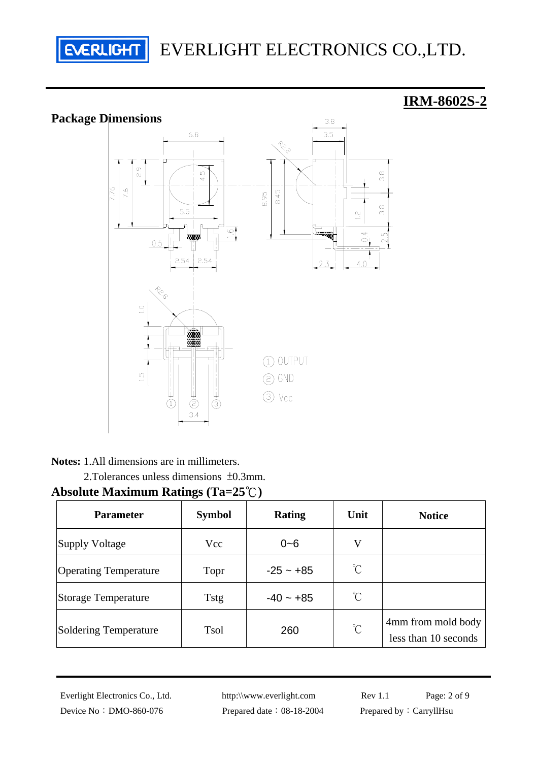

# **Package Dimensions**

# **IRM-8602S-2**



**Notes:** 1.All dimensions are in millimeters.

2.Tolerances unless dimensions ±0.3mm.

# **Absolute Maximum Ratings (Ta=25**℃**)**

| <b>Parameter</b>             | <b>Symbol</b> | <b>Rating</b> | Unit         | <b>Notice</b>                              |
|------------------------------|---------------|---------------|--------------|--------------------------------------------|
| Supply Voltage               | Vcc           | $0 - 6$       | V            |                                            |
| <b>Operating Temperature</b> | Topr          | $-25 - +85$   | $^{\circ}$ C |                                            |
| <b>Storage Temperature</b>   | <b>Tstg</b>   | $-40 - +85$   | $^{\circ}$ C |                                            |
| <b>Soldering Temperature</b> | <b>Tsol</b>   | 260           | $^{\circ}$ C | 4mm from mold body<br>less than 10 seconds |

Device No: DMO-860-076 Prepared date: 08-18-2004 Prepared by: CarryllHsu

Everlight Electronics Co., Ltd. http:\\www.everlight.com Rev 1.1 Page: 2 of 9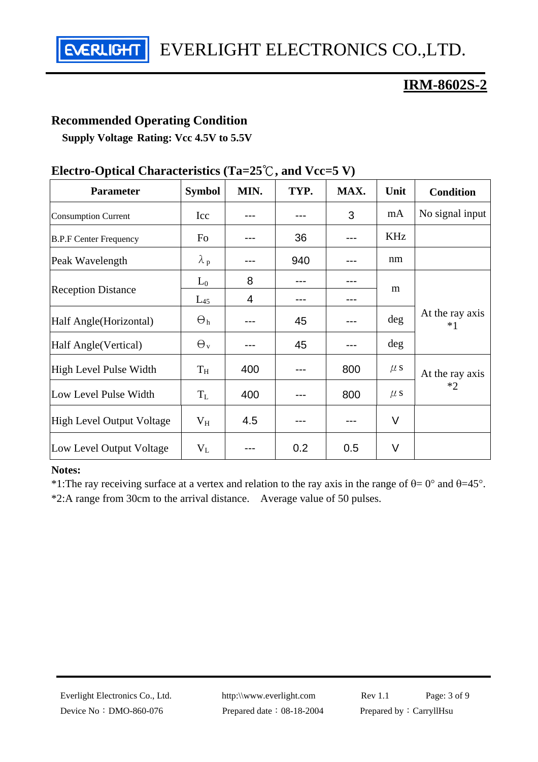EVERLIGHT ELECTRONICS CO.,LTD. **EVERLIGHT** 

# **IRM-8602S-2**

#### **Recommended Operating Condition**

**Supply Voltage Rating: Vcc 4.5V to 5.5V**

| <b>Parameter</b>                 | <b>Symbol</b>    | MIN. | TYP. | MAX. | Unit    | <b>Condition</b>        |
|----------------------------------|------------------|------|------|------|---------|-------------------------|
| <b>Consumption Current</b>       | Icc              |      |      | 3    | mA      | No signal input         |
| <b>B.P.F Center Frequency</b>    | Fo               |      | 36   |      | KHz     |                         |
| Peak Wavelength                  | $\lambda_p$      |      | 940  |      | nm      |                         |
| <b>Reception Distance</b>        | $L_0$            | 8    |      |      | m       |                         |
|                                  | $L_{45}$         | 4    |      |      |         |                         |
| Half Angle (Horizontal)          | $\Theta_h$       |      | 45   |      | deg     | At the ray axis<br>$*1$ |
| Half Angle (Vertical)            | $\Theta_{\rm v}$ |      | 45   |      | $\deg$  |                         |
| High Level Pulse Width           | $T_{\rm H}$      | 400  |      | 800  | $\mu$ s | At the ray axis         |
| Low Level Pulse Width            | $T_{L}$          | 400  |      | 800  | $\mu$ s | $*2$                    |
| <b>High Level Output Voltage</b> | $\rm V_H$        | 4.5  |      |      | $\vee$  |                         |
| Low Level Output Voltage         | $V_{L}$          |      | 0.2  | 0.5  | $\vee$  |                         |

# **Electro-Optical Characteristics (Ta=25**℃**, and Vcc=5 V)**

#### **Notes:**

\*1:The ray receiving surface at a vertex and relation to the ray axis in the range of  $\theta = 0^{\circ}$  and  $\theta = 45^{\circ}$ . \*2:A range from 30cm to the arrival distance. Average value of 50 pulses.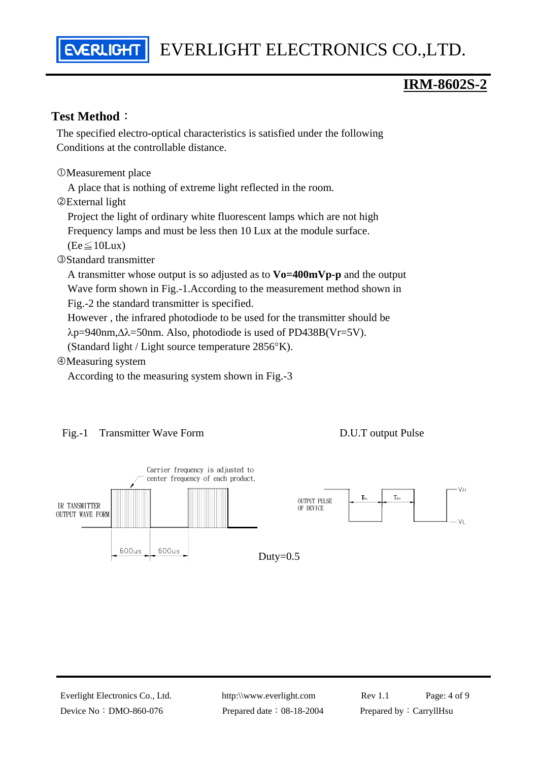# **IRM-8602S-2**

#### **Test Method**:

 The specified electro-optical characteristics is satisfied under the following Conditions at the controllable distance.

**OMeasurement place** 

ERLIGH

A place that is nothing of extreme light reflected in the room.

dExternal light

Project the light of ordinary white fluorescent lamps which are not high

Frequency lamps and must be less then 10 Lux at the module surface.

 $(Fe \le 10$ Lux)

**<sup>3</sup>Standard transmitter** 

 A transmitter whose output is so adjusted as to **Vo=400mVp-p** and the output Wave form shown in Fig.-1.According to the measurement method shown in Fig.-2 the standard transmitter is specified.

However , the infrared photodiode to be used for the transmitter should be

λp=940nm,∆λ=50nm. Also, photodiode is used of PD438B(Vr=5V).

(Standard light / Light source temperature 2856°K).

**@Measuring system** 

According to the measuring system shown in Fig.-3

#### Fig.-1 Transmitter Wave Form D.U.T output Pulse

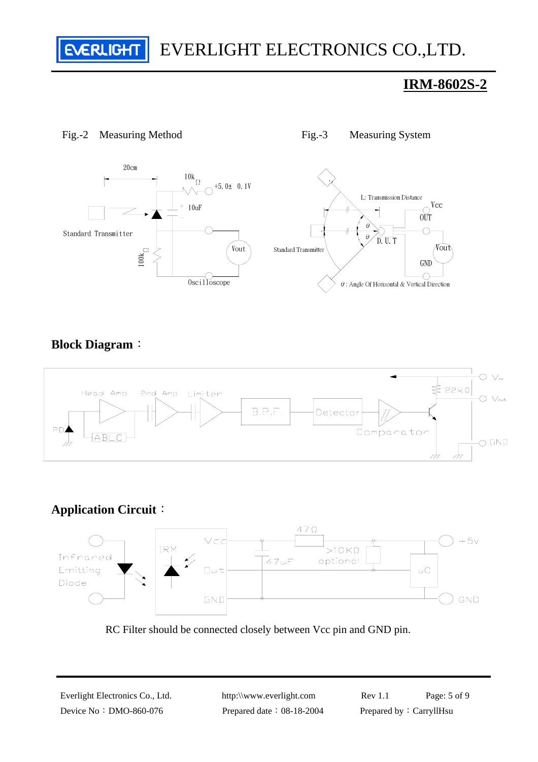**EVERLIGHT** EVERLIGHT ELECTRONICS CO.,LTD.

# **IRM-8602S-2**



#### Fig.-2 Measuring Method Fig.-3 Measuring System

## **Block Diagram**:



## **Application Circuit**:



RC Filter should be connected closely between Vcc pin and GND pin.

Everlight Electronics Co., Ltd. http:\\www.everlight.com Rev 1.1 Page: 5 of 9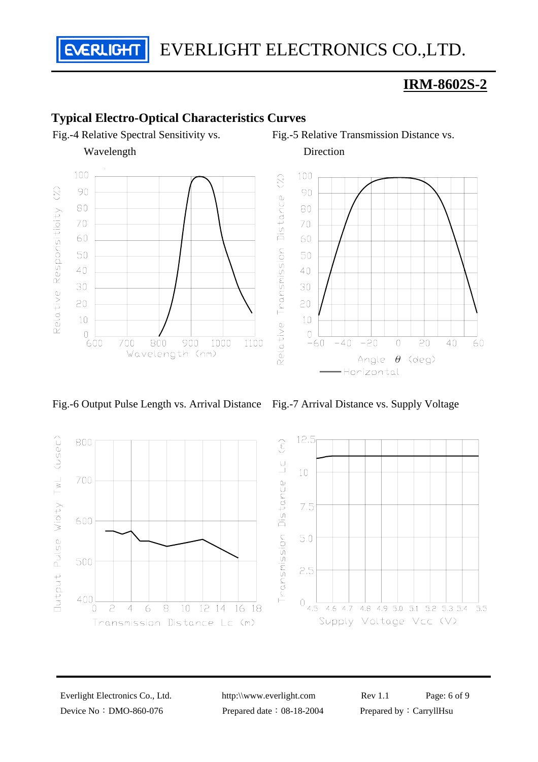EVERLIGHT ELECTRONICS CO.,LTD.

# **IRM-8602S-2**

## **Typical Electro-Optical Characteristics Curves**



Wavelength

**EVERLIGHT** 





Fig.-5 Relative Transmission Distance vs.

Fig.-6 Output Pulse Length vs. Arrival Distance Fig.-7 Arrival Distance vs. Supply Voltage







Everlight Electronics Co., Ltd. http:\\www.everlight.com Rev 1.1 Page: 6 of 9 Device No: DMO-860-076 Prepared date: 08-18-2004 Prepared by: CarryllHsu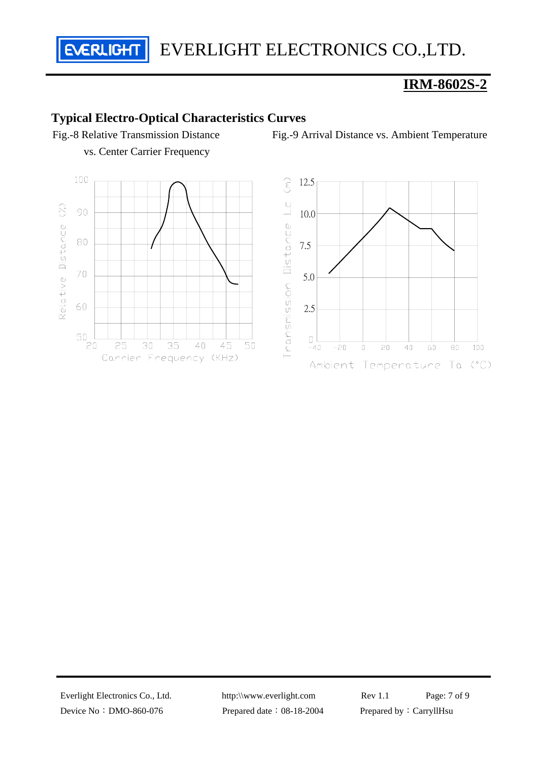EVERLIGHT ELECTRONICS CO.,LTD.

# **IRM-8602S-2**

### **Typical Electro-Optical Characteristics Curves**

Fig.-8 Relative Transmission Distance vs. Center Carrier Frequency

**EVERLIGHT** 





Fig.-9 Arrival Distance vs. Ambient Temperature

Device No: DMO-860-076 Prepared date: 08-18-2004 Prepared by: CarryllHsu

Everlight Electronics Co., Ltd. http:\\www.everlight.com Rev 1.1 Page: 7 of 9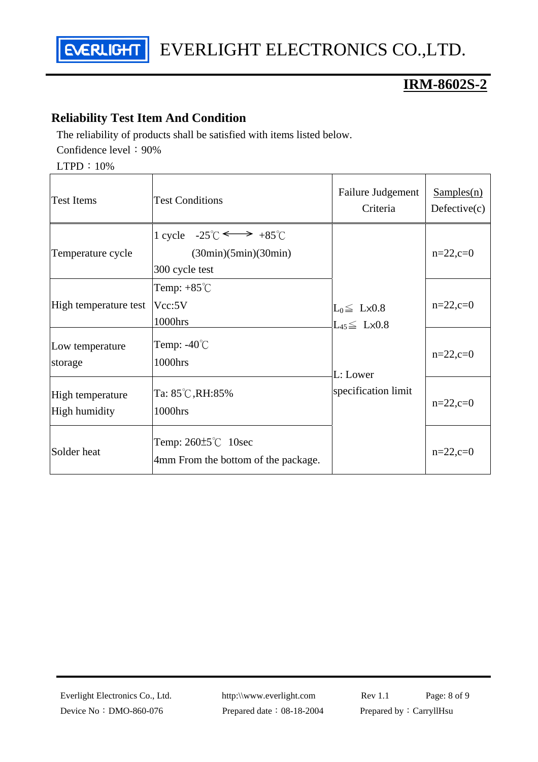

# **IRM-8602S-2**

# **Reliability Test Item And Condition**

The reliability of products shall be satisfied with items listed below. Confidence level: 90%

LTPD:10%

| <b>Test Items</b>                 | <b>Test Conditions</b>                                                                        | Failure Judgement<br>Criteria                         | Sampling(n)<br>Defective(c) |
|-----------------------------------|-----------------------------------------------------------------------------------------------|-------------------------------------------------------|-----------------------------|
| Temperature cycle                 | 1 cycle $-25^{\circ}C \leftrightarrow +85^{\circ}C$<br>(30min)(5min)(30min)<br>300 cycle test |                                                       | $n=22,c=0$                  |
| High temperature test             | Temp: $+85^{\circ}$ C<br>Vcc:5V<br>1000hrs                                                    | $L_0 \leq L \times 0.8$<br>$L_{45} \leq L \times 0.8$ | $n=22, c=0$                 |
| Low temperature<br>storage        | Temp: $-40^{\circ}$ C<br>1000hrs                                                              | L: Lower                                              | $n=22, c=0$                 |
| High temperature<br>High humidity | Ta: 85℃,RH:85%<br>1000hrs                                                                     | specification limit                                   | $n=22,c=0$                  |
| Solder heat                       | Temp: $260\pm5^{\circ}$ C 10sec<br>4mm From the bottom of the package.                        |                                                       | $n=22,c=0$                  |